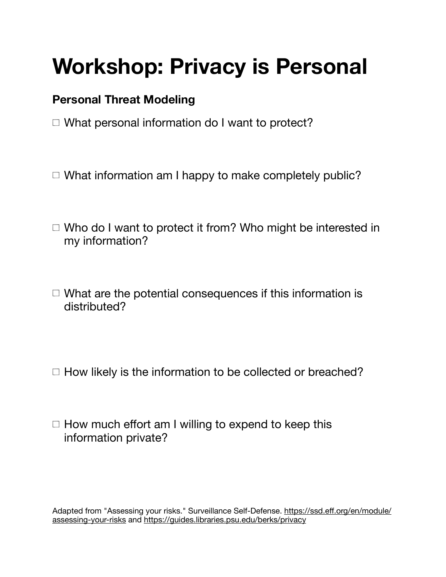## **Workshop: Privacy is Personal**

## **Personal Threat Modeling**

- □ What personal information do I want to protect?
- $\Box$  What information am I happy to make completely public?
- $\Box$  Who do I want to protect it from? Who might be interested in my information?
- $\Box$  What are the potential consequences if this information is distributed?
- $\Box$  How likely is the information to be collected or breached?
- $\Box$  How much effort am I willing to expend to keep this information private?

Adapted from "Assessing your risks." Surveillance Self-Defense. https://ssd.eff[.org/en/module/](https://ssd.eff.org/en/module/assessing-your-risks) [assessing-your-risks](https://ssd.eff.org/en/module/assessing-your-risks) and <https://guides.libraries.psu.edu/berks/privacy>